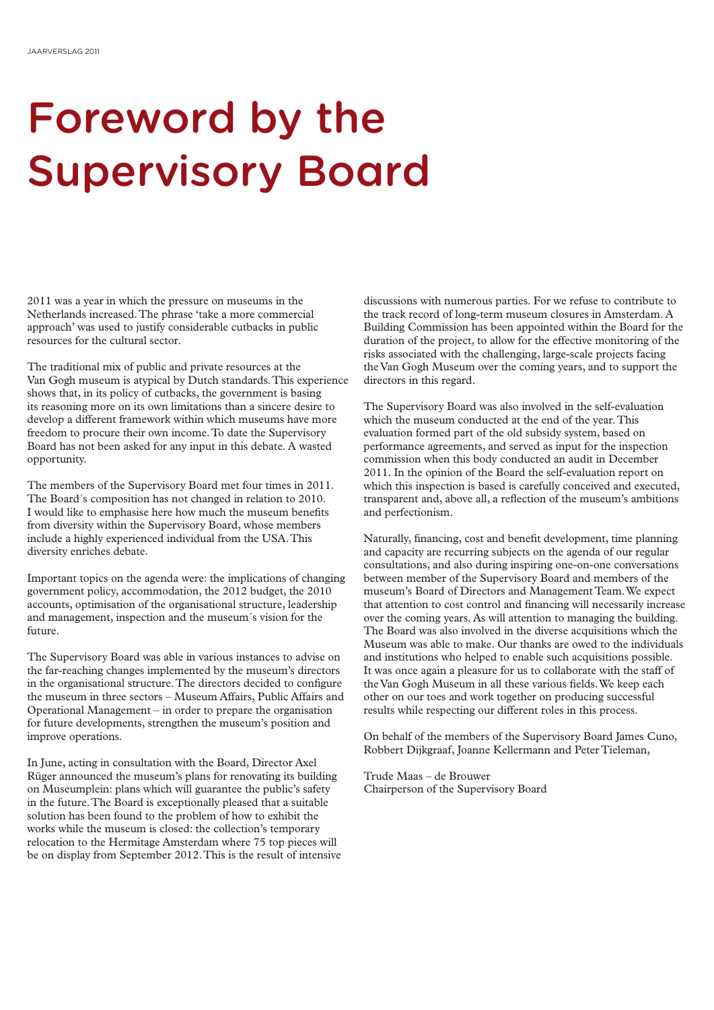## Foreword by the Supervisory Board

2011 was a year in which the pressure on museums in the Netherlands increased. The phrase 'take a more commercial approach' was used to justify considerable cutbacks in public resources for the cultural sector.

The traditional mix of public and private resources at the Van Gogh museum is atypical by Dutch standards. This experience shows that, in its policy of cutbacks, the government is basing its reasoning more on its own limitations than a sincere desire to develop a different framework within which museums have more freedom to procure their own income. To date the Supervisory Board has not been asked for any input in this debate. A wasted opportunity.

The members of the Supervisory Board met four times in 2011. The Board´s composition has not changed in relation to 2010. I would like to emphasise here how much the museum benefits from diversity within the Supervisory Board, whose members include a highly experienced individual from the USA. This diversity enriches debate.

Important topics on the agenda were: the implications of changing government policy, accommodation, the 2012 budget, the 2010 accounts, optimisation of the organisational structure, leadership and management, inspection and the museum´s vision for the future.

The Supervisory Board was able in various instances to advise on the far-reaching changes implemented by the museum's directors in the organisational structure. The directors decided to configure the museum in three sectors – Museum Affairs, Public Affairs and Operational Management – in order to prepare the organisation for future developments, strengthen the museum's position and improve operations.

In June, acting in consultation with the Board, Director Axel Rüger announced the museum's plans for renovating its building on Museumplein: plans which will guarantee the public's safety in the future. The Board is exceptionally pleased that a suitable solution has been found to the problem of how to exhibit the works while the museum is closed: the collection's temporary relocation to the Hermitage Amsterdam where 75 top pieces will be on display from September 2012. This is the result of intensive

discussions with numerous parties. For we refuse to contribute to the track record of long-term museum closures in Amsterdam. A Building Commission has been appointed within the Board for the duration of the project, to allow for the effective monitoring of the risks associated with the challenging, large-scale projects facing the Van Gogh Museum over the coming years, and to support the directors in this regard.

The Supervisory Board was also involved in the self-evaluation which the museum conducted at the end of the year. This evaluation formed part of the old subsidy system, based on performance agreements, and served as input for the inspection commission when this body conducted an audit in December 2011. In the opinion of the Board the self-evaluation report on which this inspection is based is carefully conceived and executed, transparent and, above all, a reflection of the museum's ambitions and perfectionism.

Naturally, financing, cost and benefit development, time planning and capacity are recurring subjects on the agenda of our regular consultations, and also during inspiring one-on-one conversations between member of the Supervisory Board and members of the museum's Board of Directors and Management Team. We expect that attention to cost control and financing will necessarily increase over the coming years. As will attention to managing the building. The Board was also involved in the diverse acquisitions which the Museum was able to make. Our thanks are owed to the individuals and institutions who helped to enable such acquisitions possible. It was once again a pleasure for us to collaborate with the staff of the Van Gogh Museum in all these various fields. We keep each other on our toes and work together on producing successful results while respecting our different roles in this process.

On behalf of the members of the Supervisory Board James Cuno, Robbert Dijkgraaf, Joanne Kellermann and Peter Tieleman,

Trude Maas – de Brouwer Chairperson of the Supervisory Board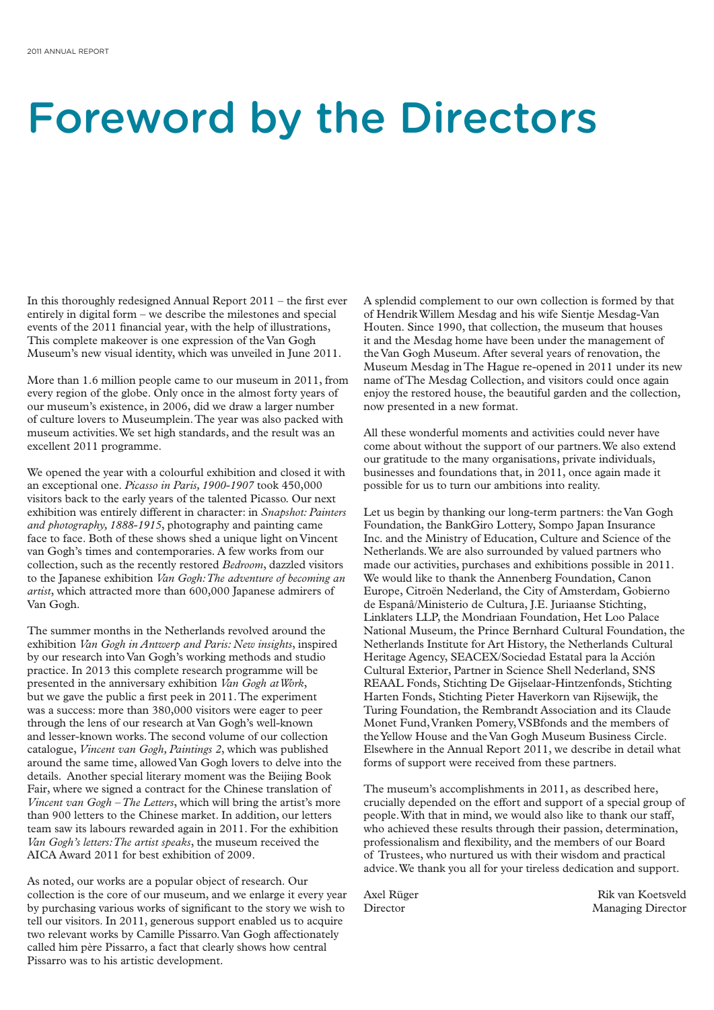### Foreword by the Directors

In this thoroughly redesigned Annual Report 2011 – the first ever entirely in digital form – we describe the milestones and special events of the 2011 financial year, with the help of illustrations, This complete makeover is one expression of the Van Gogh Museum's new visual identity, which was unveiled in June 2011.

More than 1.6 million people came to our museum in 2011, from every region of the globe. Only once in the almost forty years of our museum's existence, in 2006, did we draw a larger number of culture lovers to Museumplein. The year was also packed with museum activities. We set high standards, and the result was an excellent 2011 programme.

We opened the year with a colourful exhibition and closed it with an exceptional one. *Picasso in Paris, 1900-1907* took 450,000 visitors back to the early years of the talented Picasso. Our next exhibition was entirely different in character: in *Snapshot: Painters and photography, 1888-1915*, photography and painting came face to face. Both of these shows shed a unique light on Vincent van Gogh's times and contemporaries. A few works from our collection, such as the recently restored *Bedroom*, dazzled visitors to the Japanese exhibition *Van Gogh: The adventure of becoming an artist*, which attracted more than 600,000 Japanese admirers of Van Gogh.

The summer months in the Netherlands revolved around the exhibition *Van Gogh in Antwerp and Paris: New insights*, inspired by our research into Van Gogh's working methods and studio practice. In 2013 this complete research programme will be presented in the anniversary exhibition *Van Gogh at Work*, but we gave the public a first peek in 2011. The experiment was a success: more than 380,000 visitors were eager to peer through the lens of our research at Van Gogh's well-known and lesser-known works. The second volume of our collection catalogue, *Vincent van Gogh, Paintings 2*, which was published around the same time, allowed Van Gogh lovers to delve into the details. Another special literary moment was the Beijing Book Fair, where we signed a contract for the Chinese translation of *Vincent van Gogh – The Letters*, which will bring the artist's more than 900 letters to the Chinese market. In addition, our letters team saw its labours rewarded again in 2011. For the exhibition *Van Gogh's letters: The artist speaks*, the museum received the AICA Award 2011 for best exhibition of 2009.

As noted, our works are a popular object of research. Our collection is the core of our museum, and we enlarge it every year by purchasing various works of significant to the story we wish to tell our visitors. In 2011, generous support enabled us to acquire two relevant works by Camille Pissarro. Van Gogh affectionately called him père Pissarro, a fact that clearly shows how central Pissarro was to his artistic development.

A splendid complement to our own collection is formed by that of Hendrik Willem Mesdag and his wife Sientje Mesdag-Van Houten. Since 1990, that collection, the museum that houses it and the Mesdag home have been under the management of the Van Gogh Museum. After several years of renovation, the Museum Mesdag in The Hague re-opened in 2011 under its new name of The Mesdag Collection, and visitors could once again enjoy the restored house, the beautiful garden and the collection, now presented in a new format.

All these wonderful moments and activities could never have come about without the support of our partners. We also extend our gratitude to the many organisations, private individuals, businesses and foundations that, in 2011, once again made it possible for us to turn our ambitions into reality.

Let us begin by thanking our long-term partners: the Van Gogh Foundation, the BankGiro Lottery, Sompo Japan Insurance Inc. and the Ministry of Education, Culture and Science of the Netherlands. We are also surrounded by valued partners who made our activities, purchases and exhibitions possible in 2011. We would like to thank the Annenberg Foundation, Canon Europe, Citroën Nederland, the City of Amsterdam, Gobierno de Espanâ/Ministerio de Cultura, J.E. Juriaanse Stichting, Linklaters LLP, the Mondriaan Foundation, Het Loo Palace National Museum, the Prince Bernhard Cultural Foundation, the Netherlands Institute for Art History, the Netherlands Cultural Heritage Agency, SEACEX/Sociedad Estatal para la Acción Cultural Exterior, Partner in Science Shell Nederland, SNS REAAL Fonds, Stichting De Gijselaar-Hintzenfonds, Stichting Harten Fonds, Stichting Pieter Haverkorn van Rijsewijk, the Turing Foundation, the Rembrandt Association and its Claude Monet Fund, Vranken Pomery, VSBfonds and the members of the Yellow House and the Van Gogh Museum Business Circle. Elsewhere in the Annual Report 2011, we describe in detail what forms of support were received from these partners.

The museum's accomplishments in 2011, as described here, crucially depended on the effort and support of a special group of people. With that in mind, we would also like to thank our staff, who achieved these results through their passion, determination, professionalism and flexibility, and the members of our Board of Trustees, who nurtured us with their wisdom and practical advice. We thank you all for your tireless dedication and support.

Axel Rüger Rik van Koetsveld Director Managing Director